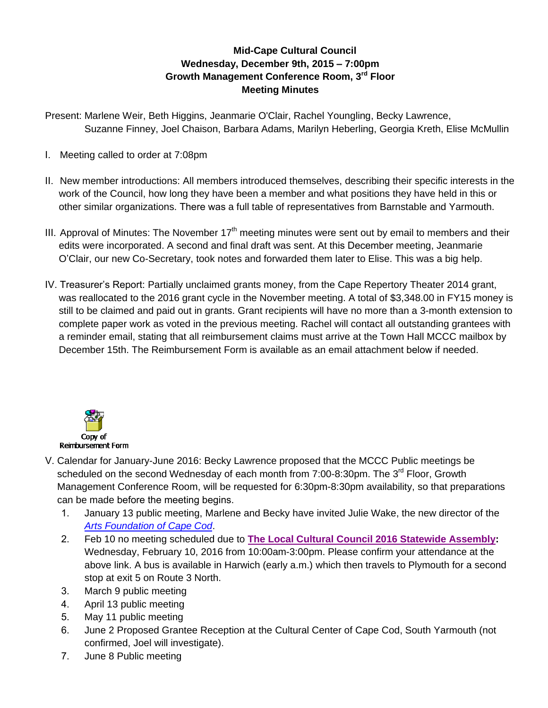## **Mid-Cape Cultural Council Wednesday, December 9th, 2015 – 7:00pm Growth Management Conference Room, 3rd Floor Meeting Minutes**

Present: Marlene Weir, Beth Higgins, Jeanmarie O'Clair, Rachel Youngling, Becky Lawrence, Suzanne Finney, Joel Chaison, Barbara Adams, Marilyn Heberling, Georgia Kreth, Elise McMullin

- I. Meeting called to order at 7:08pm
- II. New member introductions: All members introduced themselves, describing their specific interests in the work of the Council, how long they have been a member and what positions they have held in this or other similar organizations. There was a full table of representatives from Barnstable and Yarmouth.
- III. Approval of Minutes: The November  $17<sup>th</sup>$  meeting minutes were sent out by email to members and their edits were incorporated. A second and final draft was sent. At this December meeting, Jeanmarie O'Clair, our new Co-Secretary, took notes and forwarded them later to Elise. This was a big help.
- IV. Treasurer's Report: Partially unclaimed grants money, from the Cape Repertory Theater 2014 grant, was reallocated to the 2016 grant cycle in the November meeting. A total of \$3,348.00 in FY15 money is still to be claimed and paid out in grants. Grant recipients will have no more than a 3-month extension to complete paper work as voted in the previous meeting. Rachel will contact all outstanding grantees with a reminder email, stating that all reimbursement claims must arrive at the Town Hall MCCC mailbox by December 15th. The Reimbursement Form is available as an email attachment below if needed.



- V. Calendar for January-June 2016: Becky Lawrence proposed that the MCCC Public meetings be scheduled on the second Wednesday of each month from 7:00-8:30pm. The 3<sup>rd</sup> Floor, Growth Management Conference Room, will be requested for 6:30pm-8:30pm availability, so that preparations can be made before the meeting begins.
	- 1. January 13 public meeting, Marlene and Becky have invited Julie Wake, the new director of the *[Arts Foundation of Cape Cod](artsfoundation.org)*.
	- 2. Feb 10 no meeting scheduled due to **[The Local Cultural Council 2016 Statewide Assembly:](https://www.surveymonkey.com/s/WDYZPZK)** Wednesday, February 10, 2016 from 10:00am-3:00pm. Please confirm your attendance at the above link. A bus is available in Harwich (early a.m.) which then travels to Plymouth for a second stop at exit 5 on Route 3 North.
	- 3. March 9 public meeting
	- 4. April 13 public meeting
	- 5. May 11 public meeting
	- 6. June 2 Proposed Grantee Reception at the Cultural Center of Cape Cod, South Yarmouth (not confirmed, Joel will investigate).
	- 7. June 8 Public meeting